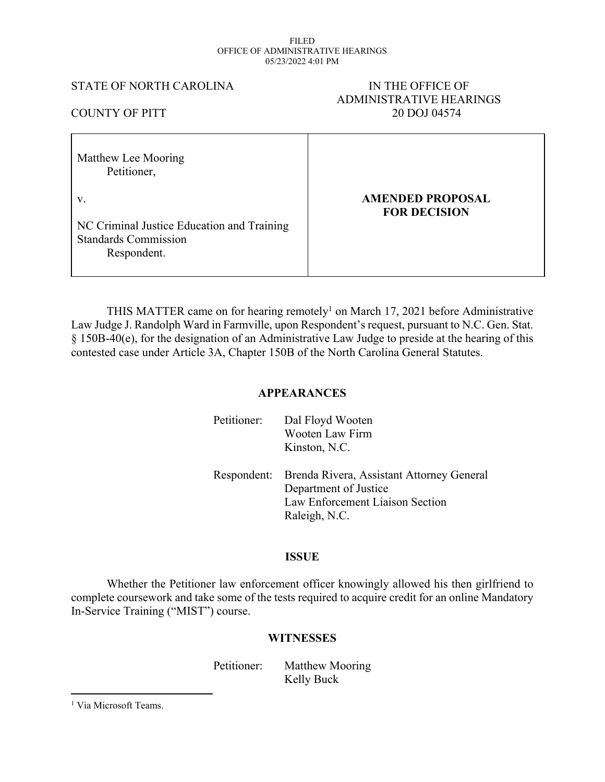#### FILED OFFICE OF ADMINISTRATIVE HEARINGS 05/23/2022 4:01 PM

#### STATE OF NORTH CAROLINA IN THE OFFICE OF

# ADMINISTRATIVE HEARINGS COUNTY OF PITT 20 DOJ 04574

| Matthew Lee Mooring<br>Petitioner,                                                             |                                                |
|------------------------------------------------------------------------------------------------|------------------------------------------------|
| V.<br>NC Criminal Justice Education and Training<br><b>Standards Commission</b><br>Respondent. | <b>AMENDED PROPOSAL</b><br><b>FOR DECISION</b> |

THIS MATTER came on for hearing remotely<sup>1</sup> on March 17, 2021 before Administrative Law Judge J. Randolph Ward in Farmville, upon Respondent's request, pursuant to N.C. Gen. Stat. § 150B-40(e), for the designation of an Administrative Law Judge to preside at the hearing of this contested case under Article 3A, Chapter 150B of the North Carolina General Statutes.

## **APPEARANCES**

| Petitioner: | Dal Floyd Wooten<br><b>Wooten Law Firm</b><br>Kinston, N.C.                                                            |
|-------------|------------------------------------------------------------------------------------------------------------------------|
| Respondent: | Brenda Rivera, Assistant Attorney General<br>Department of Justice<br>Law Enforcement Liaison Section<br>Raleigh, N.C. |

## **ISSUE**

Whether the Petitioner law enforcement officer knowingly allowed his then girlfriend to complete coursework and take some of the tests required to acquire credit for an online Mandatory In-Service Training ("MIST") course.

## **WITNESSES**

Petitioner: Matthew Mooring Kelly Buck

<sup>1</sup> Via Microsoft Teams.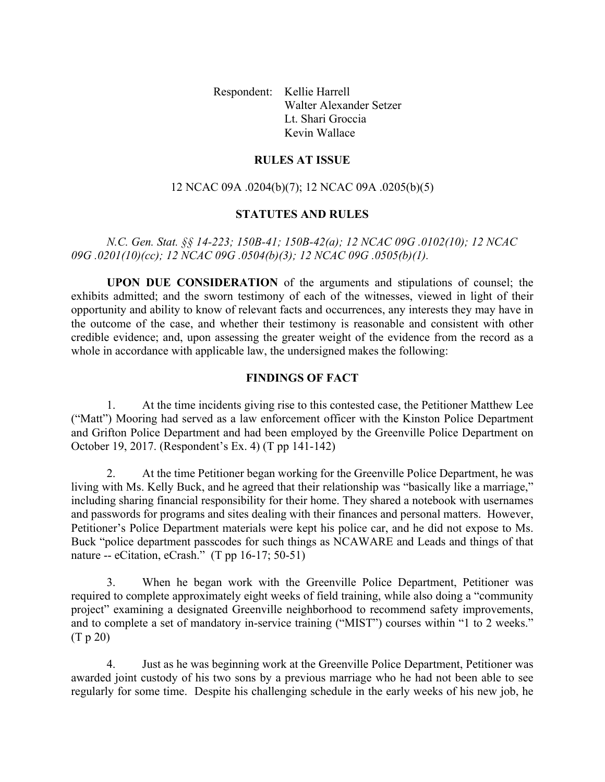Respondent: Kellie Harrell Walter Alexander Setzer Lt. Shari Groccia Kevin Wallace

#### **RULES AT ISSUE**

### 12 NCAC 09A .0204(b)(7); 12 NCAC 09A .0205(b)(5)

#### **STATUTES AND RULES**

*N.C. Gen. Stat. §§ 14-223; 150B-41; 150B-42(a); 12 NCAC 09G .0102(10); 12 NCAC 09G .0201(10)(cc); 12 NCAC 09G .0504(b)(3); 12 NCAC 09G .0505(b)(1).*

**UPON DUE CONSIDERATION** of the arguments and stipulations of counsel; the exhibits admitted; and the sworn testimony of each of the witnesses, viewed in light of their opportunity and ability to know of relevant facts and occurrences, any interests they may have in the outcome of the case, and whether their testimony is reasonable and consistent with other credible evidence; and, upon assessing the greater weight of the evidence from the record as a whole in accordance with applicable law, the undersigned makes the following:

#### **FINDINGS OF FACT**

1. At the time incidents giving rise to this contested case, the Petitioner Matthew Lee ("Matt") Mooring had served as a law enforcement officer with the Kinston Police Department and Grifton Police Department and had been employed by the Greenville Police Department on October 19, 2017. (Respondent's Ex. 4) (T pp 141-142)

2. At the time Petitioner began working for the Greenville Police Department, he was living with Ms. Kelly Buck, and he agreed that their relationship was "basically like a marriage," including sharing financial responsibility for their home. They shared a notebook with usernames and passwords for programs and sites dealing with their finances and personal matters. However, Petitioner's Police Department materials were kept his police car, and he did not expose to Ms. Buck "police department passcodes for such things as NCAWARE and Leads and things of that nature -- eCitation, eCrash." (T pp 16-17; 50-51)

3. When he began work with the Greenville Police Department, Petitioner was required to complete approximately eight weeks of field training, while also doing a "community project" examining a designated Greenville neighborhood to recommend safety improvements, and to complete a set of mandatory in-service training ("MIST") courses within "1 to 2 weeks." (T p 20)

4. Just as he was beginning work at the Greenville Police Department, Petitioner was awarded joint custody of his two sons by a previous marriage who he had not been able to see regularly for some time. Despite his challenging schedule in the early weeks of his new job, he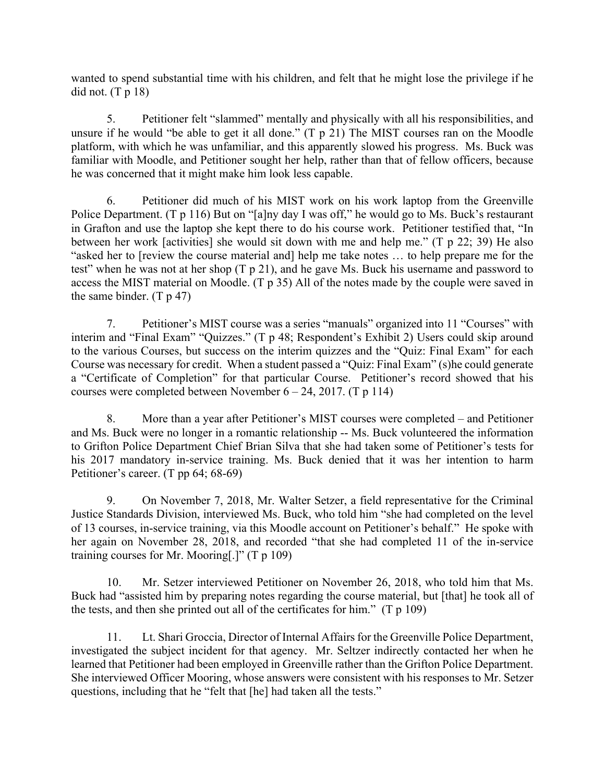wanted to spend substantial time with his children, and felt that he might lose the privilege if he did not.  $(T p 18)$ 

5. Petitioner felt "slammed" mentally and physically with all his responsibilities, and unsure if he would "be able to get it all done." (T p 21) The MIST courses ran on the Moodle platform, with which he was unfamiliar, and this apparently slowed his progress. Ms. Buck was familiar with Moodle, and Petitioner sought her help, rather than that of fellow officers, because he was concerned that it might make him look less capable.

6. Petitioner did much of his MIST work on his work laptop from the Greenville Police Department. (T p 116) But on "[a]ny day I was off," he would go to Ms. Buck's restaurant in Grafton and use the laptop she kept there to do his course work. Petitioner testified that, "In between her work [activities] she would sit down with me and help me." (T p 22; 39) He also "asked her to [review the course material and] help me take notes … to help prepare me for the test" when he was not at her shop (T p 21), and he gave Ms. Buck his username and password to access the MIST material on Moodle. (T p 35) All of the notes made by the couple were saved in the same binder.  $(T p 47)$ 

7. Petitioner's MIST course was a series "manuals" organized into 11 "Courses" with interim and "Final Exam" "Quizzes." (T p 48; Respondent's Exhibit 2) Users could skip around to the various Courses, but success on the interim quizzes and the "Quiz: Final Exam" for each Course was necessary for credit. When a student passed a "Quiz: Final Exam" (s)he could generate a "Certificate of Completion" for that particular Course. Petitioner's record showed that his courses were completed between November  $6 - 24$ , 2017. (T p 114)

8. More than a year after Petitioner's MIST courses were completed – and Petitioner and Ms. Buck were no longer in a romantic relationship -- Ms. Buck volunteered the information to Grifton Police Department Chief Brian Silva that she had taken some of Petitioner's tests for his 2017 mandatory in-service training. Ms. Buck denied that it was her intention to harm Petitioner's career. (T pp 64; 68-69)

9. On November 7, 2018, Mr. Walter Setzer, a field representative for the Criminal Justice Standards Division, interviewed Ms. Buck, who told him "she had completed on the level of 13 courses, in-service training, via this Moodle account on Petitioner's behalf." He spoke with her again on November 28, 2018, and recorded "that she had completed 11 of the in-service training courses for Mr. Mooring[.]" (T p 109)

10. Mr. Setzer interviewed Petitioner on November 26, 2018, who told him that Ms. Buck had "assisted him by preparing notes regarding the course material, but [that] he took all of the tests, and then she printed out all of the certificates for him."  $(T p 109)$ 

11. Lt. Shari Groccia, Director of Internal Affairs for the Greenville Police Department, investigated the subject incident for that agency. Mr. Seltzer indirectly contacted her when he learned that Petitioner had been employed in Greenville rather than the Grifton Police Department. She interviewed Officer Mooring, whose answers were consistent with his responses to Mr. Setzer questions, including that he "felt that [he] had taken all the tests."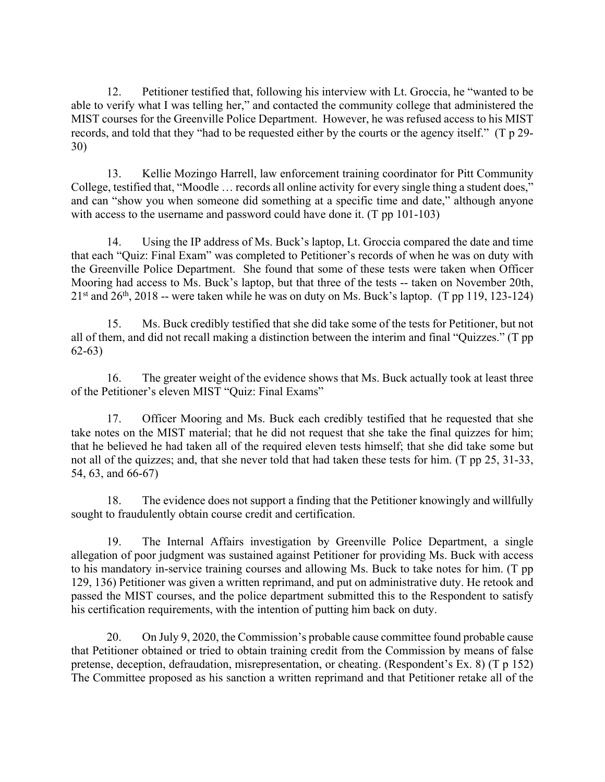12. Petitioner testified that, following his interview with Lt. Groccia, he "wanted to be able to verify what I was telling her," and contacted the community college that administered the MIST courses for the Greenville Police Department. However, he was refused access to his MIST records, and told that they "had to be requested either by the courts or the agency itself." (T p 29- 30)

13. Kellie Mozingo Harrell, law enforcement training coordinator for Pitt Community College, testified that, "Moodle … records all online activity for every single thing a student does," and can "show you when someone did something at a specific time and date," although anyone with access to the username and password could have done it. (T pp 101-103)

14. Using the IP address of Ms. Buck's laptop, Lt. Groccia compared the date and time that each "Quiz: Final Exam" was completed to Petitioner's records of when he was on duty with the Greenville Police Department. She found that some of these tests were taken when Officer Mooring had access to Ms. Buck's laptop, but that three of the tests -- taken on November 20th,  $21<sup>st</sup>$  and  $26<sup>th</sup>$ ,  $2018$  -- were taken while he was on duty on Ms. Buck's laptop. (T pp 119, 123-124)

15. Ms. Buck credibly testified that she did take some of the tests for Petitioner, but not all of them, and did not recall making a distinction between the interim and final "Quizzes." (T pp 62-63)

16. The greater weight of the evidence shows that Ms. Buck actually took at least three of the Petitioner's eleven MIST "Quiz: Final Exams"

17. Officer Mooring and Ms. Buck each credibly testified that he requested that she take notes on the MIST material; that he did not request that she take the final quizzes for him; that he believed he had taken all of the required eleven tests himself; that she did take some but not all of the quizzes; and, that she never told that had taken these tests for him. (T pp 25, 31-33, 54, 63, and 66-67)

18. The evidence does not support a finding that the Petitioner knowingly and willfully sought to fraudulently obtain course credit and certification.

19. The Internal Affairs investigation by Greenville Police Department, a single allegation of poor judgment was sustained against Petitioner for providing Ms. Buck with access to his mandatory in-service training courses and allowing Ms. Buck to take notes for him. (T pp 129, 136) Petitioner was given a written reprimand, and put on administrative duty. He retook and passed the MIST courses, and the police department submitted this to the Respondent to satisfy his certification requirements, with the intention of putting him back on duty.

20. On July 9, 2020, the Commission's probable cause committee found probable cause that Petitioner obtained or tried to obtain training credit from the Commission by means of false pretense, deception, defraudation, misrepresentation, or cheating. (Respondent's Ex. 8) (T p 152) The Committee proposed as his sanction a written reprimand and that Petitioner retake all of the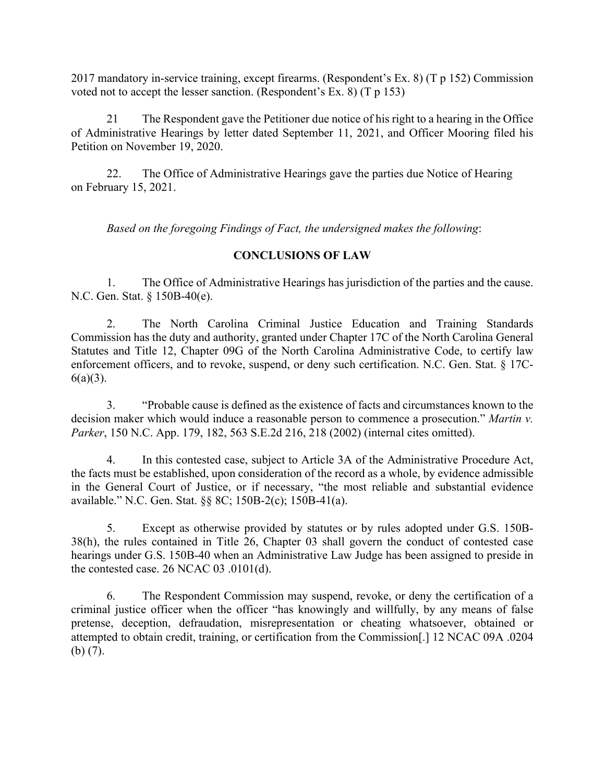2017 mandatory in-service training, except firearms. (Respondent's Ex. 8) (T p 152) Commission voted not to accept the lesser sanction. (Respondent's Ex. 8) (T p 153)

21 The Respondent gave the Petitioner due notice of his right to a hearing in the Office of Administrative Hearings by letter dated September 11, 2021, and Officer Mooring filed his Petition on November 19, 2020.

22. The Office of Administrative Hearings gave the parties due Notice of Hearing on February 15, 2021.

*Based on the foregoing Findings of Fact, the undersigned makes the following*:

## **CONCLUSIONS OF LAW**

1. The Office of Administrative Hearings has jurisdiction of the parties and the cause. N.C. Gen. Stat. § 150B-40(e).

2. The North Carolina Criminal Justice Education and Training Standards Commission has the duty and authority, granted under Chapter 17C of the North Carolina General Statutes and Title 12, Chapter 09G of the North Carolina Administrative Code, to certify law enforcement officers, and to revoke, suspend, or deny such certification. N.C. Gen. Stat. § 17C- $6(a)(3)$ .

3. "Probable cause is defined as the existence of facts and circumstances known to the decision maker which would induce a reasonable person to commence a prosecution." *Martin v. Parker*, 150 N.C. App. 179, 182, 563 S.E.2d 216, 218 (2002) (internal cites omitted).

4. In this contested case, subject to Article 3A of the Administrative Procedure Act, the facts must be established, upon consideration of the record as a whole, by evidence admissible in the General Court of Justice, or if necessary, "the most reliable and substantial evidence available." N.C. Gen. Stat. §§ 8C; 150B-2(c); 150B-41(a).

5. Except as otherwise provided by statutes or by rules adopted under G.S. 150B-38(h), the rules contained in Title 26, Chapter 03 shall govern the conduct of contested case hearings under G.S. 150B-40 when an Administrative Law Judge has been assigned to preside in the contested case. 26 NCAC 03 .0101(d).

6. The Respondent Commission may suspend, revoke, or deny the certification of a criminal justice officer when the officer "has knowingly and willfully, by any means of false pretense, deception, defraudation, misrepresentation or cheating whatsoever, obtained or attempted to obtain credit, training, or certification from the Commission[.] 12 NCAC 09A .0204 (b) (7).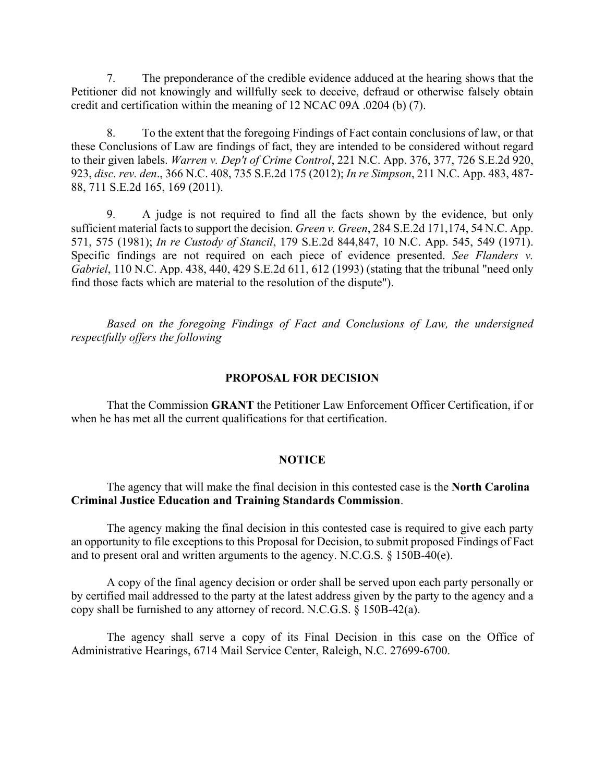7. The preponderance of the credible evidence adduced at the hearing shows that the Petitioner did not knowingly and willfully seek to deceive, defraud or otherwise falsely obtain credit and certification within the meaning of 12 NCAC 09A .0204 (b) (7).

8. To the extent that the foregoing Findings of Fact contain conclusions of law, or that these Conclusions of Law are findings of fact, they are intended to be considered without regard to their given labels. *Warren v. Dep't of Crime Control*, 221 N.C. App. 376, 377, 726 S.E.2d 920, 923, *disc. rev. den*., 366 N.C. 408, 735 S.E.2d 175 (2012); *In re Simpson*, 211 N.C. App. 483, 487- 88, 711 S.E.2d 165, 169 (2011).

9. A judge is not required to find all the facts shown by the evidence, but only sufficient material facts to support the decision. *Green v. Green*, 284 S.E.2d 171,174, 54 N.C. App. 571, 575 (1981); *In re Custody of Stancil*, 179 S.E.2d 844,847, 10 N.C. App. 545, 549 (1971). Specific findings are not required on each piece of evidence presented. *See Flanders v. Gabriel*, 110 N.C. App. 438, 440, 429 S.E.2d 611, 612 (1993) (stating that the tribunal "need only find those facts which are material to the resolution of the dispute").

*Based on the foregoing Findings of Fact and Conclusions of Law, the undersigned respectfully offers the following*

#### **PROPOSAL FOR DECISION**

That the Commission **GRANT** the Petitioner Law Enforcement Officer Certification, if or when he has met all the current qualifications for that certification.

#### **NOTICE**

#### The agency that will make the final decision in this contested case is the **North Carolina Criminal Justice Education and Training Standards Commission**.

The agency making the final decision in this contested case is required to give each party an opportunity to file exceptions to this Proposal for Decision, to submit proposed Findings of Fact and to present oral and written arguments to the agency. N.C.G.S. § 150B-40(e).

A copy of the final agency decision or order shall be served upon each party personally or by certified mail addressed to the party at the latest address given by the party to the agency and a copy shall be furnished to any attorney of record. N.C.G.S. § 150B-42(a).

The agency shall serve a copy of its Final Decision in this case on the Office of Administrative Hearings, 6714 Mail Service Center, Raleigh, N.C. 27699-6700.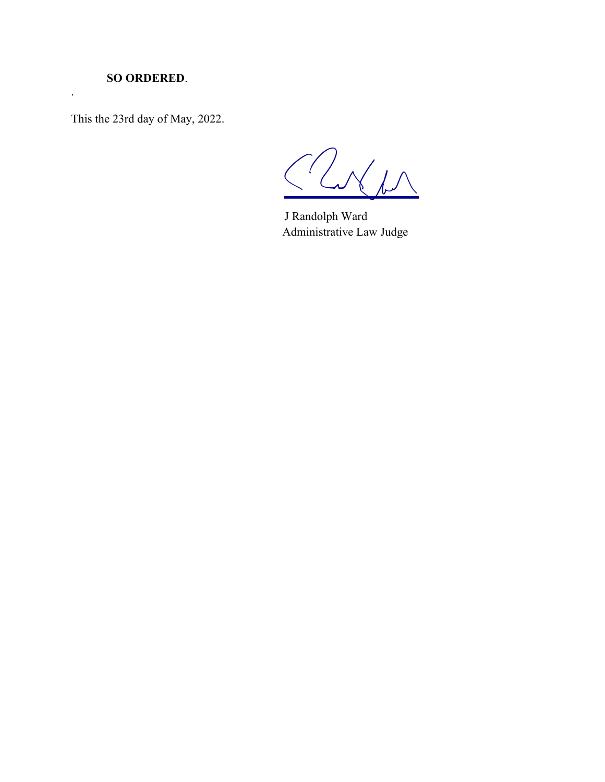## **SO ORDERED**.

.

This the 23rd day of May, 2022.

 $240$ 

J Randolph Ward Administrative Law Judge